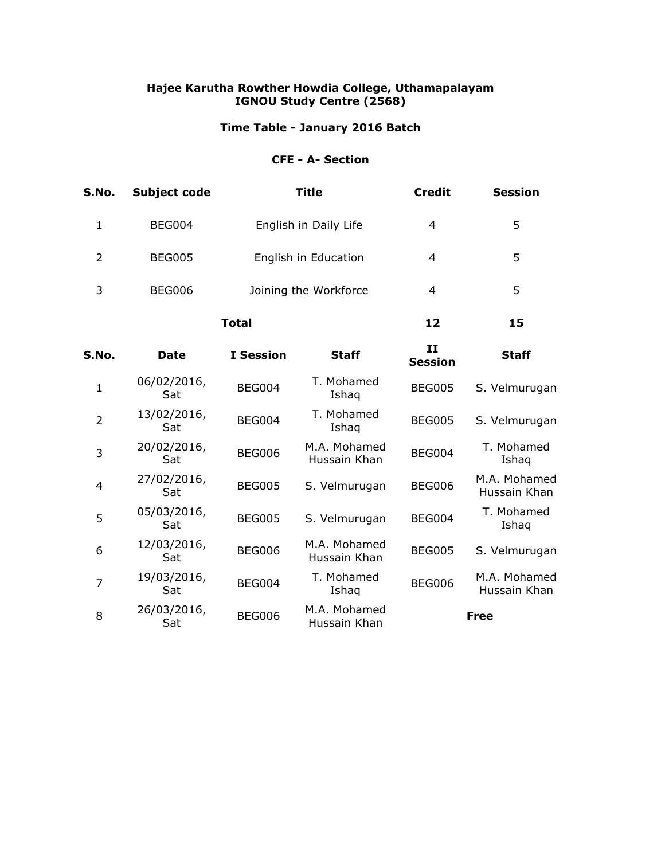# **Time Table - January 2016 Batch**

## **CFE - A- Section**

| S.No.          | <b>Subject code</b> | <b>Title</b>          |                              | <b>Credit</b>                  | <b>Session</b>               |
|----------------|---------------------|-----------------------|------------------------------|--------------------------------|------------------------------|
| $\mathbf{1}$   | <b>BEG004</b>       | English in Daily Life |                              | 4                              | 5                            |
| $\overline{2}$ | <b>BEG005</b>       | English in Education  |                              | $\overline{4}$                 | 5                            |
| 3              | <b>BEG006</b>       | Joining the Workforce |                              | 4                              | 5                            |
|                | <b>Total</b>        |                       |                              | 12                             | 15                           |
| S.No.          | <b>Date</b>         | <b>I</b> Session      | <b>Staff</b>                 | $\mathbf{H}$<br><b>Session</b> | <b>Staff</b>                 |
| $\mathbf{1}$   | 06/02/2016,<br>Sat  | <b>BEG004</b>         | T. Mohamed<br>Ishaq          | <b>BEG005</b>                  | S. Velmurugan                |
| $\overline{2}$ | 13/02/2016,<br>Sat  | <b>BEG004</b>         | T. Mohamed<br>Ishaq          | <b>BEG005</b>                  | S. Velmurugan                |
| 3              | 20/02/2016,<br>Sat  | <b>BEG006</b>         | M.A. Mohamed<br>Hussain Khan | <b>BEG004</b>                  | T. Mohamed<br>Ishag          |
| 4              | 27/02/2016,<br>Sat  | <b>BEG005</b>         | S. Velmurugan                | <b>BEG006</b>                  | M.A. Mohamed<br>Hussain Khan |
| 5              | 05/03/2016,<br>Sat  | <b>BEG005</b>         | S. Velmurugan                | <b>BEG004</b>                  | T. Mohamed<br>Ishaq          |
| 6              | 12/03/2016,<br>Sat  | <b>BEG006</b>         | M.A. Mohamed<br>Hussain Khan | <b>BEG005</b>                  | S. Velmurugan                |
| 7              | 19/03/2016,<br>Sat  | <b>BEG004</b>         | T. Mohamed<br>Ishaq          | <b>BEG006</b>                  | M.A. Mohamed<br>Hussain Khan |
| 8              | 26/03/2016,<br>Sat  | <b>BEG006</b>         | M.A. Mohamed<br>Hussain Khan |                                | <b>Free</b>                  |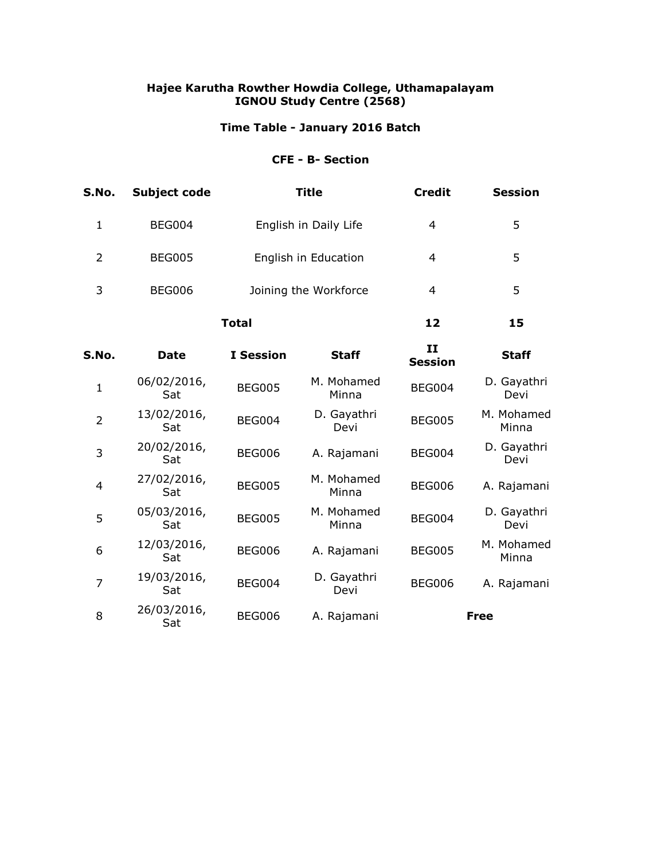# **Time Table - January 2016 Batch**

## **CFE - B- Section**

| S.No.          | <b>Subject code</b> |                       | <b>Title</b>          | <b>Credit</b>       | <b>Session</b>      |
|----------------|---------------------|-----------------------|-----------------------|---------------------|---------------------|
| $\mathbf{1}$   | <b>BEG004</b>       |                       | English in Daily Life | 4                   | 5                   |
| $\overline{2}$ | <b>BEG005</b>       | English in Education  |                       | $\overline{4}$      | 5                   |
| 3              | <b>BEG006</b>       | Joining the Workforce |                       | 4                   | 5                   |
|                | <b>Total</b>        |                       |                       | 12                  | 15                  |
| S.No.          | <b>Date</b>         | <b>I</b> Session      | <b>Staff</b>          | H<br><b>Session</b> | <b>Staff</b>        |
| $\mathbf{1}$   | 06/02/2016,<br>Sat  | <b>BEG005</b>         | M. Mohamed<br>Minna   | <b>BEG004</b>       | D. Gayathri<br>Devi |
| $\overline{2}$ | 13/02/2016,<br>Sat  | <b>BEG004</b>         | D. Gayathri<br>Devi   | <b>BEG005</b>       | M. Mohamed<br>Minna |
| 3              | 20/02/2016,<br>Sat  | <b>BEG006</b>         | A. Rajamani           | <b>BEG004</b>       | D. Gayathri<br>Devi |
| 4              | 27/02/2016,<br>Sat  | <b>BEG005</b>         | M. Mohamed<br>Minna   | <b>BEG006</b>       | A. Rajamani         |
| 5              | 05/03/2016,<br>Sat  | <b>BEG005</b>         | M. Mohamed<br>Minna   | <b>BEG004</b>       | D. Gayathri<br>Devi |
| 6              | 12/03/2016,<br>Sat  | <b>BEG006</b>         | A. Rajamani           | <b>BEG005</b>       | M. Mohamed<br>Minna |
| $\overline{7}$ | 19/03/2016,<br>Sat  | <b>BEG004</b>         | D. Gayathri<br>Devi   | <b>BEG006</b>       | A. Rajamani         |
| 8              | 26/03/2016,<br>Sat  | <b>BEG006</b>         | A. Rajamani           |                     | <b>Free</b>         |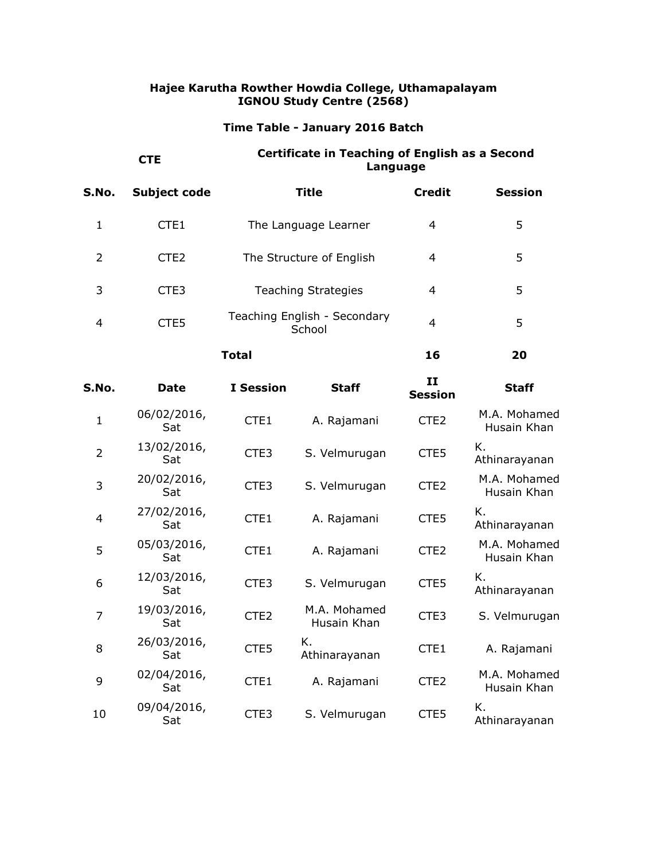## **Time Table - January 2016 Batch**

# **CTE Certificate in Teaching of English as a Second Language**

| S.No. | Subject code     | Title                                  | <b>Credit</b> | <b>Session</b> |
|-------|------------------|----------------------------------------|---------------|----------------|
|       | CTE <sub>1</sub> | The Language Learner                   | 4             | 5.             |
| 2     | CTE <sub>2</sub> | The Structure of English               | 4             | 5              |
| 3     | CTE3             | <b>Teaching Strategies</b>             | 4             | 5              |
| 4     | CTE5             | Teaching English - Secondary<br>School | 4             | 5              |
|       |                  | Total                                  | 16            | 20             |

| S.No.          | <b>Date</b>        | <b>I</b> Session | <b>Staff</b>                | H<br><b>Session</b> | <b>Staff</b>                |
|----------------|--------------------|------------------|-----------------------------|---------------------|-----------------------------|
| $\mathbf{1}$   | 06/02/2016,<br>Sat | CTE1             | A. Rajamani                 | CTE <sub>2</sub>    | M.A. Mohamed<br>Husain Khan |
| $\overline{2}$ | 13/02/2016,<br>Sat | CTE <sub>3</sub> | S. Velmurugan               | CTE5                | Κ.<br>Athinarayanan         |
| 3              | 20/02/2016,<br>Sat | CTE <sub>3</sub> | S. Velmurugan               | CTE <sub>2</sub>    | M.A. Mohamed<br>Husain Khan |
| 4              | 27/02/2016,<br>Sat | CTE1             | A. Rajamani                 | CTE5                | Κ.<br>Athinarayanan         |
| 5              | 05/03/2016,<br>Sat | CTE1             | A. Rajamani                 | CTE <sub>2</sub>    | M.A. Mohamed<br>Husain Khan |
| 6              | 12/03/2016,<br>Sat | CTE <sub>3</sub> | S. Velmurugan               | CTE5                | Κ.<br>Athinarayanan         |
| $\overline{7}$ | 19/03/2016,<br>Sat | CTE <sub>2</sub> | M.A. Mohamed<br>Husain Khan | CTE <sub>3</sub>    | S. Velmurugan               |
| 8              | 26/03/2016,<br>Sat | CTE5             | К.<br>Athinarayanan         | CTE1                | A. Rajamani                 |
| 9              | 02/04/2016,<br>Sat | CTE1             | A. Rajamani                 | CTE <sub>2</sub>    | M.A. Mohamed<br>Husain Khan |
| 10             | 09/04/2016,<br>Sat | CTE <sub>3</sub> | S. Velmurugan               | CTE5                | K.<br>Athinarayanan         |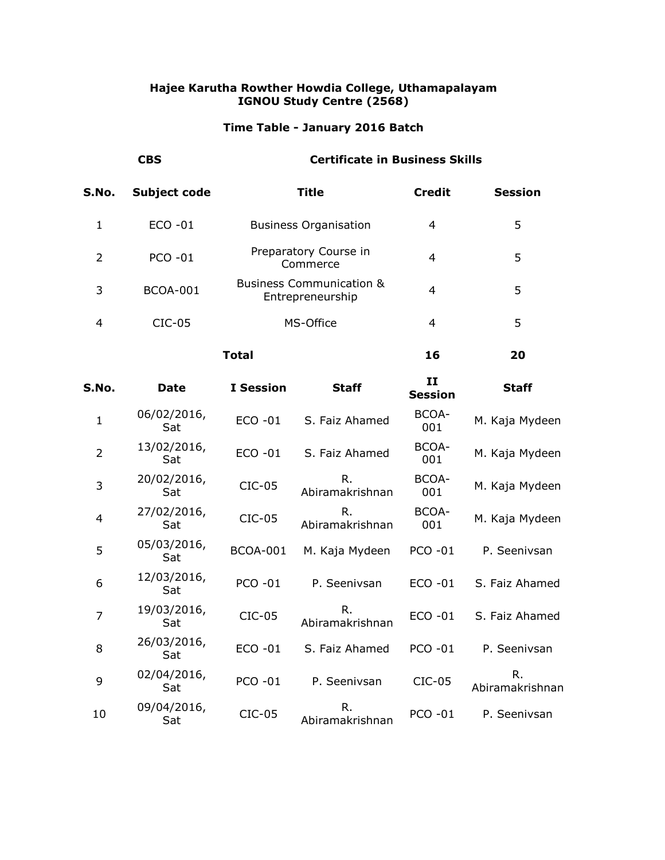# **Time Table - January 2016 Batch**

| <b>CBS</b> |                 | <b>Certificate in Business Skills</b>                   |               |                |  |
|------------|-----------------|---------------------------------------------------------|---------------|----------------|--|
| S.No.      | Subject code    | Title                                                   | <b>Credit</b> | <b>Session</b> |  |
| 1          | $ECO -01$       | <b>Business Organisation</b>                            | 4             | 5              |  |
| 2          | <b>PCO -01</b>  | Preparatory Course in<br>Commerce                       | 4             | 5              |  |
| 3          | <b>BCOA-001</b> | <b>Business Communication &amp;</b><br>Entrepreneurship | 4             | 5              |  |
| 4          | $CIC-05$        | MS-Office                                               | 4             | 5              |  |
|            |                 | Total                                                   | 16            | 20             |  |

| S.No.          | <b>Date</b>        | <b>I</b> Session | <b>Staff</b>          | 11<br><b>Session</b> | <b>Staff</b>          |
|----------------|--------------------|------------------|-----------------------|----------------------|-----------------------|
| $\mathbf{1}$   | 06/02/2016,<br>Sat | ECO -01          | S. Faiz Ahamed        | BCOA-<br>001         | M. Kaja Mydeen        |
| $\overline{2}$ | 13/02/2016,<br>Sat | ECO -01          | S. Faiz Ahamed        | BCOA-<br>001         | M. Kaja Mydeen        |
| 3              | 20/02/2016,<br>Sat | $CIC-05$         | R.<br>Abiramakrishnan | BCOA-<br>001         | M. Kaja Mydeen        |
| $\overline{4}$ | 27/02/2016,<br>Sat | $CIC-05$         | R.<br>Abiramakrishnan | BCOA-<br>001         | M. Kaja Mydeen        |
| 5              | 05/03/2016,<br>Sat | <b>BCOA-001</b>  | M. Kaja Mydeen        | <b>PCO -01</b>       | P. Seenivsan          |
| 6              | 12/03/2016,<br>Sat | <b>PCO -01</b>   | P. Seenivsan          | $ECO -01$            | S. Faiz Ahamed        |
| $\overline{7}$ | 19/03/2016,<br>Sat | $CIC-05$         | R.<br>Abiramakrishnan | ECO -01              | S. Faiz Ahamed        |
| 8              | 26/03/2016,<br>Sat | $ECO - 01$       | S. Faiz Ahamed        | <b>PCO -01</b>       | P. Seenivsan          |
| 9              | 02/04/2016,<br>Sat | <b>PCO -01</b>   | P. Seenivsan          | $CIC-05$             | R.<br>Abiramakrishnan |
| 10             | 09/04/2016,<br>Sat | $CIC-05$         | R.<br>Abiramakrishnan | <b>PCO -01</b>       | P. Seenivsan          |